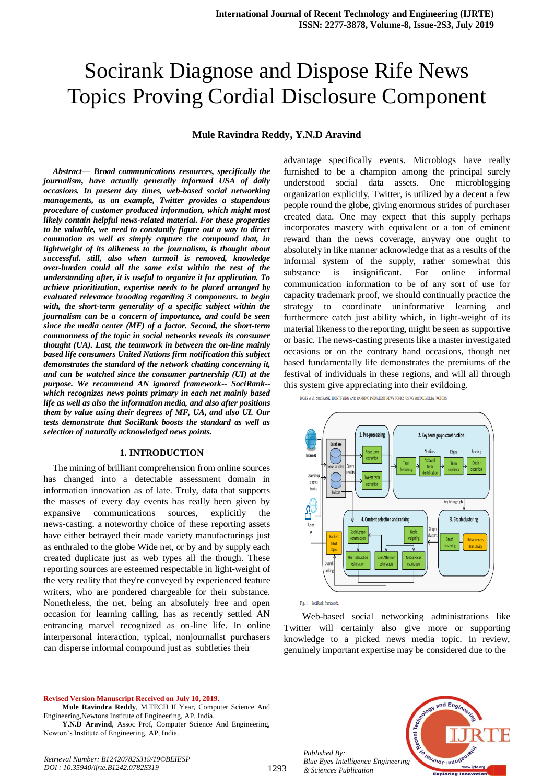# Socirank Diagnose and Dispose Rife News Topics Proving Cordial Disclosure Component

#### **Mule Ravindra Reddy, Y.N.D Aravind**

*Abstract***—** *Broad communications resources, specifically the journalism, have actually generally informed USA of daily occasions. In present day times, web-based social networking managements, as an example, Twitter provides a stupendous procedure of customer produced information, which might most likely contain helpful news-related material. For these properties to be valuable, we need to constantly figure out a way to direct commotion as well as simply capture the compound that, in lightweight of its alikeness to the journalism, is thought about successful. still, also when turmoil is removed, knowledge over-burden could all the same exist within the rest of the understanding after, it is useful to organize it for application. To achieve prioritization, expertise needs to be placed arranged by evaluated relevance brooding regarding 3 components. to begin with, the short-term generality of a specific subject within the journalism can be a concern of importance, and could be seen since the media center (MF) of a factor. Second, the short-term commonness of the topic in social networks reveals its consumer thought (UA). Last, the teamwork in between the on-line mainly based life consumers United Nations firm notification this subject demonstrates the standard of the network chatting concerning it, and can be watched since the consumer partnership (UI) at the purpose. We recommend AN ignored framework-- SociRank- which recognizes news points primary in each net mainly based life as well as also the information media, and also after positions them by value using their degrees of MF, UA, and also UI. Our tests demonstrate that SociRank boosts the standard as well as selection of naturally acknowledged news points.*

#### **1. INTRODUCTION**

The mining of brilliant comprehension from online sources has changed into a detectable assessment domain in information innovation as of late. Truly, data that supports the masses of every day events has really been given by expansive communications sources, explicitly the news-casting. a noteworthy choice of these reporting assets have either betrayed their made variety manufacturings just as enthraled to the globe Wide net, or by and by supply each created duplicate just as web types all the though. These reporting sources are esteemed respectable in light-weight of the very reality that they're conveyed by experienced feature writers, who are pondered chargeable for their substance. Nonetheless, the net, being an absolutely free and open occasion for learning calling, has as recently settled AN entrancing marvel recognized as on-line life. In online interpersonal interaction, typical, nonjournalist purchasers can disperse informal compound just as subtleties their

advantage specifically events. Microblogs have really furnished to be a champion among the principal surely understood social data assets. One microblogging organization explicitly, Twitter, is utilized by a decent a few people round the globe, giving enormous strides of purchaser created data. One may expect that this supply perhaps incorporates mastery with equivalent or a ton of eminent reward than the news coverage, anyway one ought to absolutely in like manner acknowledge that as a results of the informal system of the supply, rather somewhat this substance is insignificant. For online informal communication information to be of any sort of use for capacity trademark proof, we should continually practice the strategy to coordinate uninformative learning and furthermore catch just ability which, in light-weight of its material likeness to the reporting, might be seen as supportive or basic. The news-casting presents like a master investigated occasions or on the contrary hand occasions, though net based fundamentally life demonstrates the premiums of the festival of individuals in these regions, and will all through this system give appreciating into their evildoing.

DAVIS et al.: SOCIRANK: IDENTIFYING AND RANKING PREVALENT NEWS TOPICS USING SOCIAL MEDIA FACTORS



Fig. 1. SociRank framework

*Published By:*

*& Sciences Publication* 

Web-based social networking administrations like Twitter will certainly also give more or supporting knowledge to a picked news media topic. In review, genuinely important expertise may be considered due to the

#### **Revised Version Manuscript Received on July 10, 2019.**

**Y.N.D Aravind**, Assoc Prof, Computer Science And Engineering, Newton's Institute of Engineering, AP, India.

cent **Jeuanor lend** *Blue Eyes Intelligence Engineering* 

 $ndE<sub>n</sub>$ 

*Retrieval Number: B12420782S319/19©BEIESP DOI : 10.35940/ijrte.B1242.0782S319*

**Mule Ravindra Reddy**, M.TECH II Year, Computer Science And Engineering,Newtons Institute of Engineering, AP, India.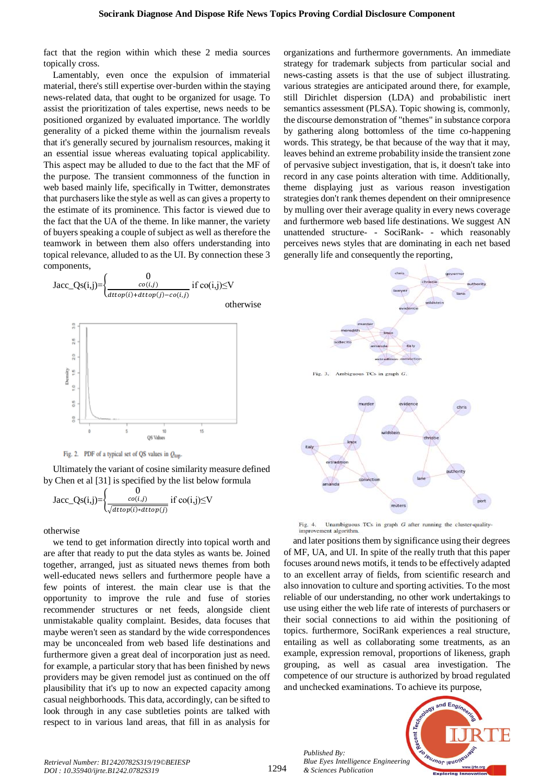fact that the region within which these 2 media sources topically cross.

Lamentably, even once the expulsion of immaterial material, there's still expertise over-burden within the staying news-related data, that ought to be organized for usage. To assist the prioritization of tales expertise, news needs to be positioned organized by evaluated importance. The worldly generality of a picked theme within the journalism reveals that it's generally secured by journalism resources, making it an essential issue whereas evaluating topical applicability. This aspect may be alluded to due to the fact that the MF of the purpose. The transient commonness of the function in web based mainly life, specifically in Twitter, demonstrates that purchasers like the style as well as can gives a property to the estimate of its prominence. This factor is viewed due to the fact that the UA of the theme. In like manner, the variety of buyers speaking a couple of subject as well as therefore the teamwork in between them also offers understanding into topical relevance, alluded to as the UI. By connection these 3 components,



Fig. 2. PDF of a typical set of QS values in  $Q_{\text{top}}$ 

Ultimately the variant of cosine similarity measure defined by Chen et al [31] is specified by the list below formula

$$
\text{Jacc}\_\text{Qs}(i,j) = \begin{cases} 0\\ \frac{co(i,j)}{\sqrt{d t top(i)*dt top(j)}} \text{ if } co(i,j) \leq V \end{cases}
$$

otherwise

we tend to get information directly into topical worth and are after that ready to put the data styles as wants be. Joined together, arranged, just as situated news themes from both well-educated news sellers and furthermore people have a few points of interest. the main clear use is that the opportunity to improve the rule and fuse of stories recommender structures or net feeds, alongside client unmistakable quality complaint. Besides, data focuses that maybe weren't seen as standard by the wide correspondences may be unconcealed from web based life destinations and furthermore given a great deal of incorporation just as need. for example, a particular story that has been finished by news providers may be given remodel just as continued on the off plausibility that it's up to now an expected capacity among casual neighborhoods. This data, accordingly, can be sifted to look through in any case subtleties points are talked with respect to in various land areas, that fill in as analysis for

organizations and furthermore governments. An immediate strategy for trademark subjects from particular social and news-casting assets is that the use of subject illustrating. various strategies are anticipated around there, for example, still Dirichlet dispersion (LDA) and probabilistic inert semantics assessment (PLSA). Topic showing is, commonly, the discourse demonstration of "themes" in substance corpora by gathering along bottomless of the time co-happening words. This strategy, be that because of the way that it may, leaves behind an extreme probability inside the transient zone of pervasive subject investigation, that is, it doesn't take into record in any case points alteration with time. Additionally, theme displaying just as various reason investigation strategies don't rank themes dependent on their omnipresence by mulling over their average quality in every news coverage and furthermore web based life destinations. We suggest AN unattended structure- - SociRank- - which reasonably perceives news styles that are dominating in each net based generally life and consequently the reporting,



Unambiguous TCs in graph  $G$  after running the cluster-quality-Fig. 4. improvement algorithm.

and later positions them by significance using their degrees of MF, UA, and UI. In spite of the really truth that this paper focuses around news motifs, it tends to be effectively adapted to an excellent array of fields, from scientific research and also innovation to culture and sporting activities. To the most reliable of our understanding, no other work undertakings to use using either the web life rate of interests of purchasers or their social connections to aid within the positioning of topics. furthermore, SociRank experiences a real structure, entailing as well as collaborating some treatments, as an example, expression removal, proportions of likeness, graph grouping, as well as casual area investigation. The competence of our structure is authorized by broad regulated and unchecked examinations. To achieve its purpose,

*Published By: Blue Eyes Intelligence Engineering & Sciences Publication* 

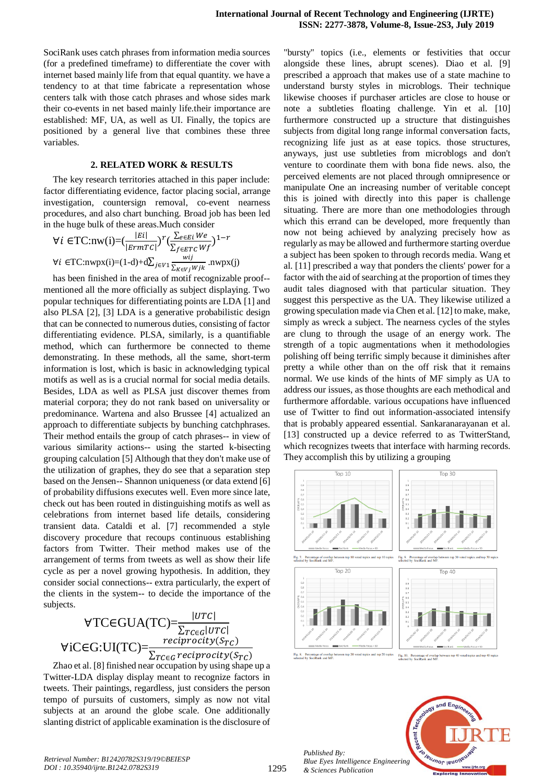SociRank uses catch phrases from information media sources (for a predefined timeframe) to differentiate the cover with internet based mainly life from that equal quantity. we have a tendency to at that time fabricate a representation whose centers talk with those catch phrases and whose sides mark their co-events in net based mainly life.their importance are established: MF, UA, as well as UI. Finally, the topics are positioned by a general live that combines these three variables.

#### **2. RELATED WORK & RESULTS**

The key research territories attached in this paper include: factor differentiating evidence, factor placing social, arrange investigation, countersign removal, co-event nearness procedures, and also chart bunching. Broad job has been led in the huge bulk of these areas.Much consider

$$
\forall i \in TC: \text{nw}(i) = (\frac{|Ei|}{|ErmTC|})^r (\frac{\sum_{e \in Ei} We}{\sum_{f \in ETC} Wf})^{1-r}
$$
  

$$
\forall i \in TC: \text{nwpx}(i) = (1-d) + d\sum_{j \in V1} \frac{wij}{\sum_{K \in Vj} Wjk} \text{ .} \text{nwpx}(j)
$$

has been finished in the area of motif recognizable proof- mentioned all the more officially as subject displaying. Two popular techniques for differentiating points are LDA [1] and also PLSA [2], [3] LDA is a generative probabilistic design that can be connected to numerous duties, consisting of factor differentiating evidence. PLSA, similarly, is a quantifiable method, which can furthermore be connected to theme demonstrating. In these methods, all the same, short-term information is lost, which is basic in acknowledging typical motifs as well as is a crucial normal for social media details. Besides, LDA as well as PLSA just discover themes from material corpora; they do not rank based on universality or predominance. Wartena and also Brussee [4] actualized an approach to differentiate subjects by bunching catchphrases. Their method entails the group of catch phrases-- in view of various similarity actions-- using the started k-bisecting grouping calculation [5] Although that they don't make use of the utilization of graphes, they do see that a separation step based on the Jensen-- Shannon uniqueness (or data extend [6] of probability diffusions executes well. Even more since late, check out has been routed in distinguishing motifs as well as celebrations from internet based life details, considering transient data. Cataldi et al. [7] recommended a style discovery procedure that recoups continuous establishing factors from Twitter. Their method makes use of the arrangement of terms from tweets as well as show their life cycle as per a novel growing hypothesis. In addition, they consider social connections-- extra particularly, the expert of the clients in the system-- to decide the importance of the subjects.

$$
\forall \text{TCGUA}(\text{TC}) = \frac{|\text{UTC}|}{\sum_{\text{TCG}}|\text{UTC}|}
$$
  

$$
\forall \text{iCG:UI}(\text{TC}) = \frac{reciprocity(S_{\text{TC}})}{\sum_{\text{TCG}}\text{reciprocity}(S_{\text{TC}})}
$$

Zhao et al. [8] finished near occupation by using shape up a Twitter-LDA display display meant to recognize factors in tweets. Their paintings, regardless, just considers the person tempo of pursuits of customers, simply as now not vital subjects at an around the globe scale. One additionally slanting district of applicable examination is the disclosure of

"bursty" topics (i.e., elements or festivities that occur alongside these lines, abrupt scenes). Diao et al. [9] prescribed a approach that makes use of a state machine to understand bursty styles in microblogs. Their technique likewise chooses if purchaser articles are close to house or note a subtleties floating challenge. Yin et al. [10] furthermore constructed up a structure that distinguishes subjects from digital long range informal conversation facts, recognizing life just as at ease topics. those structures, anyways, just use subtleties from microblogs and don't venture to coordinate them with bona fide news. also, the perceived elements are not placed through omnipresence or manipulate One an increasing number of veritable concept this is joined with directly into this paper is challenge situating. There are more than one methodologies through which this errand can be developed, more frequently than now not being achieved by analyzing precisely how as regularly as may be allowed and furthermore starting overdue a subject has been spoken to through records media. Wang et al. [11] prescribed a way that ponders the clients' power for a factor with the aid of searching at the proportion of times they audit tales diagnosed with that particular situation. They suggest this perspective as the UA. They likewise utilized a growing speculation made via Chen et al. [12] to make, make, simply as wreck a subject. The nearness cycles of the styles are clung to through the usage of an energy work. The strength of a topic augmentations when it methodologies polishing off being terrific simply because it diminishes after pretty a while other than on the off risk that it remains normal. We use kinds of the hints of MF simply as UA to address our issues, as those thoughts are each methodical and furthermore affordable. various occupations have influenced use of Twitter to find out information-associated intensify that is probably appeared essential. Sankaranarayanan et al. [13] constructed up a device referred to as TwitterStand, which recognizes tweets that interface with harming records. They accomplish this by utilizing a grouping





*Published By: Blue Eyes Intelligence Engineering & Sciences Publication* 

1295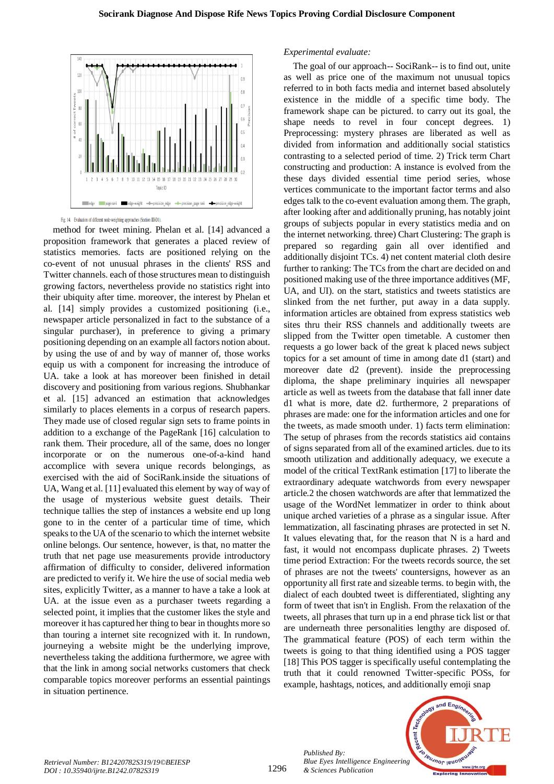

Fig. 14. Evaluation of different node-weighting approaches (Section III-D1)

method for tweet mining. Phelan et al. [14] advanced a proposition framework that generates a placed review of statistics memories. facts are positioned relying on the co-event of not unusual phrases in the clients' RSS and Twitter channels. each of those structures mean to distinguish growing factors, nevertheless provide no statistics right into their ubiquity after time. moreover, the interest by Phelan et al. [14] simply provides a customized positioning (i.e., newspaper article personalized in fact to the substance of a singular purchaser), in preference to giving a primary positioning depending on an example all factors notion about. by using the use of and by way of manner of, those works equip us with a component for increasing the introduce of UA. take a look at has moreover been finished in detail discovery and positioning from various regions. Shubhankar et al. [15] advanced an estimation that acknowledges similarly to places elements in a corpus of research papers. They made use of closed regular sign sets to frame points in addition to a exchange of the PageRank [16] calculation to rank them. Their procedure, all of the same, does no longer incorporate or on the numerous one-of-a-kind hand accomplice with severa unique records belongings, as exercised with the aid of SociRank.inside the situations of UA, Wang et al. [11] evaluated this element by way of way of the usage of mysterious website guest details. Their technique tallies the step of instances a website end up long gone to in the center of a particular time of time, which speaks to the UA of the scenario to which the internet website online belongs. Our sentence, however, is that, no matter the truth that net page use measurements provide introductory affirmation of difficulty to consider, delivered information are predicted to verify it. We hire the use of social media web sites, explicitly Twitter, as a manner to have a take a look at UA. at the issue even as a purchaser tweets regarding a selected point, it implies that the customer likes the style and moreover it has captured her thing to bear in thoughts more so than touring a internet site recognized with it. In rundown, journeying a website might be the underlying improve, nevertheless taking the additiona furthermore, we agree with that the link in among social networks customers that check comparable topics moreover performs an essential paintings in situation pertinence.

### *Experimental evaluate:*

The goal of our approach-- SociRank-- is to find out, unite as well as price one of the maximum not unusual topics referred to in both facts media and internet based absolutely existence in the middle of a specific time body. The framework shape can be pictured. to carry out its goal, the shape needs to revel in four concept degrees. 1) Preprocessing: mystery phrases are liberated as well as divided from information and additionally social statistics contrasting to a selected period of time. 2) Trick term Chart constructing and production: A instance is evolved from the these days divided essential time period series, whose vertices communicate to the important factor terms and also edges talk to the co-event evaluation among them. The graph, after looking after and additionally pruning, has notably joint groups of subjects popular in every statistics media and on the internet networking. three) Chart Clustering: The graph is prepared so regarding gain all over identified and additionally disjoint TCs. 4) net content material cloth desire further to ranking: The TCs from the chart are decided on and positioned making use of the three importance additives (MF, UA, and UI). on the start, statistics and tweets statistics are slinked from the net further, put away in a data supply. information articles are obtained from express statistics web sites thru their RSS channels and additionally tweets are slipped from the Twitter open timetable. A customer then requests a go lower back of the great k placed news subject topics for a set amount of time in among date d1 (start) and moreover date d2 (prevent). inside the preprocessing diploma, the shape preliminary inquiries all newspaper article as well as tweets from the database that fall inner date d1 what is more, date d2. furthermore, 2 preparations of phrases are made: one for the information articles and one for the tweets, as made smooth under. 1) facts term elimination: The setup of phrases from the records statistics aid contains of signs separated from all of the examined articles. due to its smooth utilization and additionally adequacy, we execute a model of the critical TextRank estimation [17] to liberate the extraordinary adequate watchwords from every newspaper article.2 the chosen watchwords are after that lemmatized the usage of the WordNet lemmatizer in order to think about unique arched varieties of a phrase as a singular issue. After lemmatization, all fascinating phrases are protected in set N. It values elevating that, for the reason that N is a hard and fast, it would not encompass duplicate phrases. 2) Tweets time period Extraction: For the tweets records source, the set of phrases are not the tweets' countersigns, however as an opportunity all first rate and sizeable terms. to begin with, the dialect of each doubted tweet is differentiated, slighting any form of tweet that isn't in English. From the relaxation of the tweets, all phrases that turn up in a end phrase tick list or that are underneath three personalities lengthy are disposed of. The grammatical feature (POS) of each term within the tweets is going to that thing identified using a POS tagger [18] This POS tagger is specifically useful contemplating the truth that it could renowned Twitter-specific POSs, for example, hashtags, notices, and additionally emoji snap



*Published By:*

*& Sciences Publication*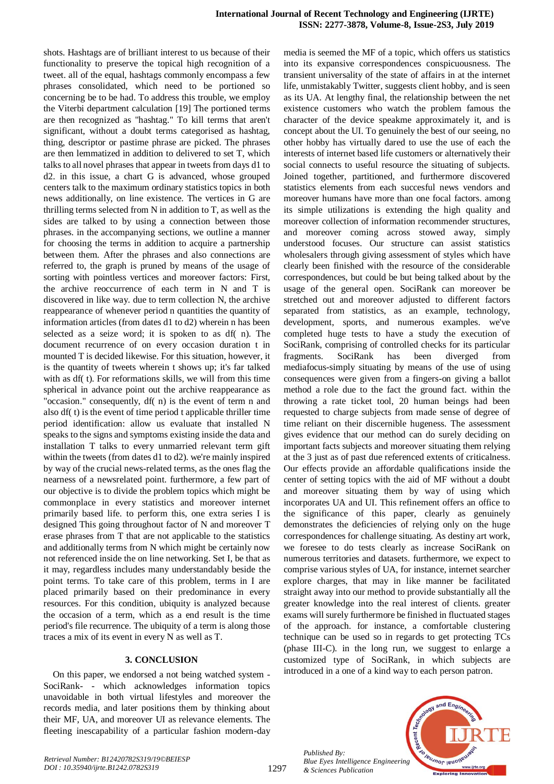shots. Hashtags are of brilliant interest to us because of their functionality to preserve the topical high recognition of a tweet. all of the equal, hashtags commonly encompass a few phrases consolidated, which need to be portioned so concerning be to be had. To address this trouble, we employ the Viterbi department calculation [19] The portioned terms are then recognized as "hashtag." To kill terms that aren't significant, without a doubt terms categorised as hashtag, thing, descriptor or pastime phrase are picked. The phrases are then lemmatized in addition to delivered to set T, which talks to all novel phrases that appear in tweets from days d1 to d2. in this issue, a chart G is advanced, whose grouped centers talk to the maximum ordinary statistics topics in both news additionally, on line existence. The vertices in G are thrilling terms selected from N in addition to T, as well as the sides are talked to by using a connection between those phrases. in the accompanying sections, we outline a manner for choosing the terms in addition to acquire a partnership between them. After the phrases and also connections are referred to, the graph is pruned by means of the usage of sorting with pointless vertices and moreover factors: First, the archive reoccurrence of each term in N and T is discovered in like way. due to term collection N, the archive reappearance of whenever period n quantities the quantity of information articles (from dates d1 to d2) wherein n has been selected as a seize word; it is spoken to as df( n). The document recurrence of on every occasion duration t in mounted T is decided likewise. For this situation, however, it is the quantity of tweets wherein t shows up; it's far talked with as df( t). For reformations skills, we will from this time spherical in advance point out the archive reappearance as "occasion." consequently, df( n) is the event of term n and also df( t) is the event of time period t applicable thriller time period identification: allow us evaluate that installed N speaks to the signs and symptoms existing inside the data and installation T talks to every unmarried relevant term gift within the tweets (from dates d1 to d2). we're mainly inspired by way of the crucial news-related terms, as the ones flag the nearness of a newsrelated point. furthermore, a few part of our objective is to divide the problem topics which might be commonplace in every statistics and moreover internet primarily based life. to perform this, one extra series I is designed This going throughout factor of N and moreover T erase phrases from T that are not applicable to the statistics and additionally terms from N which might be certainly now not referenced inside the on line networking. Set I, be that as it may, regardless includes many understandably beside the point terms. To take care of this problem, terms in I are placed primarily based on their predominance in every resources. For this condition, ubiquity is analyzed because the occasion of a term, which as a end result is the time period's file recurrence. The ubiquity of a term is along those traces a mix of its event in every N as well as T.

## **3. CONCLUSION**

On this paper, we endorsed a not being watched system - SociRank- - which acknowledges information topics unavoidable in both virtual lifestyles and moreover the records media, and later positions them by thinking about their MF, UA, and moreover UI as relevance elements. The fleeting inescapability of a particular fashion modern-day media is seemed the MF of a topic, which offers us statistics into its expansive correspondences conspicuousness. The transient universality of the state of affairs in at the internet life, unmistakably Twitter, suggests client hobby, and is seen as its UA. At lengthy final, the relationship between the net existence customers who watch the problem famous the character of the device speakme approximately it, and is concept about the UI. To genuinely the best of our seeing, no other hobby has virtually dared to use the use of each the interests of internet based life customers or alternatively their social connects to useful resource the situating of subjects. Joined together, partitioned, and furthermore discovered statistics elements from each succesful news vendors and moreover humans have more than one focal factors. among its simple utilizations is extending the high quality and moreover collection of information recommender structures, and moreover coming across stowed away, simply understood focuses. Our structure can assist statistics wholesalers through giving assessment of styles which have clearly been finished with the resource of the considerable correspondences, but could be but being talked about by the usage of the general open. SociRank can moreover be stretched out and moreover adjusted to different factors separated from statistics, as an example, technology, development, sports, and numerous examples. we've completed huge tests to have a study the execution of SociRank, comprising of controlled checks for its particular fragments. SociRank has been diverged from mediafocus-simply situating by means of the use of using consequences were given from a fingers-on giving a ballot method a role due to the fact the ground fact. within the throwing a rate ticket tool, 20 human beings had been requested to charge subjects from made sense of degree of time reliant on their discernible hugeness. The assessment gives evidence that our method can do surely deciding on important facts subjects and moreover situating them relying at the 3 just as of past due referenced extents of criticalness. Our effects provide an affordable qualifications inside the center of setting topics with the aid of MF without a doubt and moreover situating them by way of using which incorporates UA and UI. This refinement offers an office to the significance of this paper, clearly as genuinely demonstrates the deficiencies of relying only on the huge correspondences for challenge situating. As destiny art work, we foresee to do tests clearly as increase SociRank on numerous territories and datasets. furthermore, we expect to comprise various styles of UA, for instance, internet searcher explore charges, that may in like manner be facilitated straight away into our method to provide substantially all the greater knowledge into the real interest of clients. greater exams will surely furthermore be finished in fluctuated stages of the approach. for instance, a comfortable clustering technique can be used so in regards to get protecting TCs (phase III-C). in the long run, we suggest to enlarge a customized type of SociRank, in which subjects are introduced in a one of a kind way to each person patron.

*Published By: Blue Eyes Intelligence Engineering & Sciences Publication* 

1297